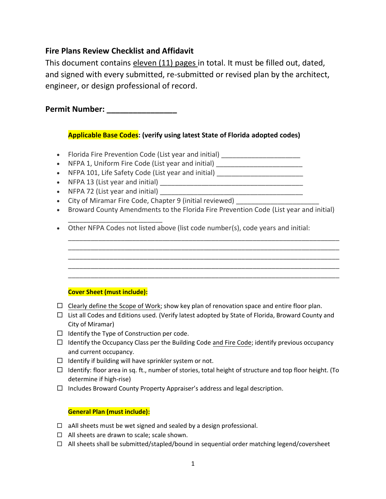## **Fire Plans Review Checklist and Affidavit**

This document contains eleven (11) pages in total. It must be filled out, dated, and signed with every submitted, re-submitted or revised plan by the architect, engineer, or design professional of record.

**Permit Number: \_\_\_\_\_\_\_\_\_\_\_\_\_\_\_\_** 

## **Applicable Base Codes: (verify using latest State of Florida adopted codes)**

- Florida Fire Prevention Code (List year and initial) \_\_\_\_\_\_\_\_\_\_\_\_\_\_\_\_\_\_\_\_\_\_\_\_\_
- NFPA 1, Uniform Fire Code (List year and initial) \_\_\_\_\_\_\_\_\_\_\_\_\_\_\_\_\_\_\_\_\_\_\_\_\_\_\_\_
- NFPA 101, Life Safety Code (List year and initial) \_\_\_\_\_\_\_\_\_\_\_\_\_\_\_\_\_\_\_\_\_\_\_\_\_\_\_
- NFPA 13 (List year and initial) \_\_\_\_\_\_\_\_\_\_\_\_\_\_\_\_\_\_\_\_\_\_\_\_\_\_\_\_\_\_\_\_\_\_\_\_\_\_
- NFPA 72 (List year and initial) \_\_\_\_\_\_\_\_\_\_\_\_\_\_\_\_\_\_\_\_\_\_\_\_\_\_\_\_\_\_\_\_\_\_\_\_\_\_

\_\_\_\_\_\_\_\_\_\_\_\_\_\_\_\_\_\_\_\_\_\_\_\_\_

- City of Miramar Fire Code, Chapter 9 (initial reviewed) \_\_\_\_\_\_\_\_\_\_\_\_\_\_\_\_\_\_\_\_\_\_
- Broward County Amendments to the Florida Fire Prevention Code (List year and initial)

\_\_\_\_\_\_\_\_\_\_\_\_\_\_\_\_\_\_\_\_\_\_\_\_\_\_\_\_\_\_\_\_\_\_\_\_\_\_\_\_\_\_\_\_\_\_\_\_\_\_\_\_\_\_\_\_\_\_\_\_\_\_\_\_\_\_\_\_\_\_\_\_ \_\_\_\_\_\_\_\_\_\_\_\_\_\_\_\_\_\_\_\_\_\_\_\_\_\_\_\_\_\_\_\_\_\_\_\_\_\_\_\_\_\_\_\_\_\_\_\_\_\_\_\_\_\_\_\_\_\_\_\_\_\_\_\_\_\_\_\_\_\_\_\_ \_\_\_\_\_\_\_\_\_\_\_\_\_\_\_\_\_\_\_\_\_\_\_\_\_\_\_\_\_\_\_\_\_\_\_\_\_\_\_\_\_\_\_\_\_\_\_\_\_\_\_\_\_\_\_\_\_\_\_\_\_\_\_\_\_\_\_\_\_\_\_\_ \_\_\_\_\_\_\_\_\_\_\_\_\_\_\_\_\_\_\_\_\_\_\_\_\_\_\_\_\_\_\_\_\_\_\_\_\_\_\_\_\_\_\_\_\_\_\_\_\_\_\_\_\_\_\_\_\_\_\_\_\_\_\_\_\_\_\_\_\_\_\_\_ \_\_\_\_\_\_\_\_\_\_\_\_\_\_\_\_\_\_\_\_\_\_\_\_\_\_\_\_\_\_\_\_\_\_\_\_\_\_\_\_\_\_\_\_\_\_\_\_\_\_\_\_\_\_\_\_\_\_\_\_\_\_\_\_\_\_\_\_\_\_\_\_

• Other NFPA Codes not listed above (list code number(s), code years and initial:

## **Cover Sheet (must include):**

- $\Box$  Clearly define the Scope of Work; show key plan of renovation space and entire floor plan.
- $\Box$  List all Codes and Editions used. (Verify latest adopted by State of Florida, Broward County and City of Miramar)
- $\Box$  Identify the Type of Construction per code.
- $\Box$  Identify the Occupancy Class per the Building Code and Fire Code; identify previous occupancy and current occupancy.
- $\Box$  Identify if building will have sprinkler system or not.
- $\Box$  Identify: floor area in sq. ft., number of stories, total height of structure and top floor height. (To determine if high-rise)
- $\Box$  Includes Broward County Property Appraiser's address and legal description.

## **General Plan (must include):**

- $\Box$  aAll sheets must be wet signed and sealed by a design professional.
- $\Box$  All sheets are drawn to scale; scale shown.
- □ All sheets shall be submitted/stapled/bound in sequential order matching legend/coversheet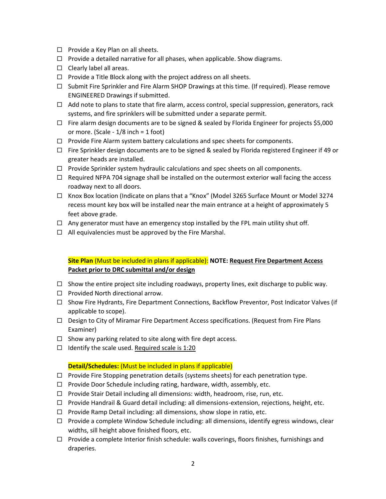- $\Box$  Provide a Key Plan on all sheets.
- $\Box$  Provide a detailed narrative for all phases, when applicable. Show diagrams.
- $\square$  Clearly label all areas.
- $\Box$  Provide a Title Block along with the project address on all sheets.
- $\Box$  Submit Fire Sprinkler and Fire Alarm SHOP Drawings at this time. (If required). Please remove ENGINEERED Drawings if submitted.
- $\Box$  Add note to plans to state that fire alarm, access control, special suppression, generators, rack systems, and fire sprinklers will be submitted under a separate permit.
- $\Box$  Fire alarm design documents are to be signed & sealed by Florida Engineer for projects \$5,000 or more. (Scale - 1/8 inch = 1 foot)
- $\Box$  Provide Fire Alarm system battery calculations and spec sheets for components.
- $\Box$  Fire Sprinkler design documents are to be signed & sealed by Florida registered Engineer if 49 or greater heads are installed.
- $\Box$  Provide Sprinkler system hydraulic calculations and spec sheets on all components.
- $\Box$  Required NFPA 704 signage shall be installed on the outermost exterior wall facing the access roadway next to all doors.
- Knox Box location (Indicate on plans that a "Knox" (Model 3265 Surface Mount or Model 3274 recess mount key box will be installed near the main entrance at a height of approximately 5 feet above grade.
- $\Box$  Any generator must have an emergency stop installed by the FPL main utility shut off.
- $\Box$  All equivalencies must be approved by the Fire Marshal.

## **Site Plan** (Must be included in plans if applicable): **NOTE: Request Fire Department Access Packet prior to DRC submittal and/or design**

- $\Box$  Show the entire project site including roadways, property lines, exit discharge to public way.
- $\Box$  Provided North directional arrow.
- □ Show Fire Hydrants, Fire Department Connections, Backflow Preventor, Post Indicator Valves (if applicable to scope).
- □ Design to City of Miramar Fire Department Access specifications. (Request from Fire Plans Examiner)
- $\Box$  Show any parking related to site along with fire dept access.
- $\Box$  Identify the scale used. Required scale is 1:20

#### **Detail/Schedules:** (Must be included in plans if applicable)

- $\Box$  Provide Fire Stopping penetration details (systems sheets) for each penetration type.
- $\Box$  Provide Door Schedule including rating, hardware, width, assembly, etc.
- $\Box$  Provide Stair Detail including all dimensions: width, headroom, rise, run, etc.
- □ Provide Handrail & Guard detail including: all dimensions-extension, rejections, height, etc.
- $\Box$  Provide Ramp Detail including: all dimensions, show slope in ratio, etc.
- $\Box$  Provide a complete Window Schedule including: all dimensions, identify egress windows, clear widths, sill height above finished floors, etc.
- $\Box$  Provide a complete Interior finish schedule: walls coverings, floors finishes, furnishings and draperies.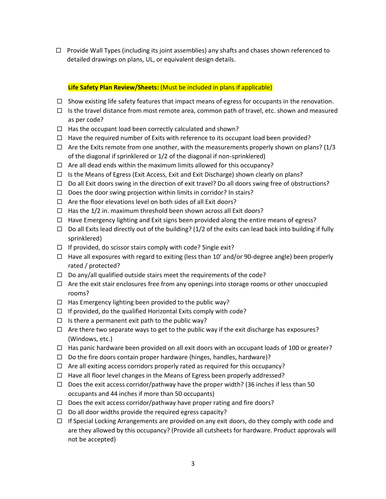$\Box$  Provide Wall Types (including its joint assemblies) any shafts and chases shown referenced to detailed drawings on plans, UL, or equivalent design details.

#### **Life Safety Plan Review/Sheets:** (Must be included in plans if applicable)

- $\Box$  Show existing life safety features that impact means of egress for occupants in the renovation.
- $\Box$  Is the travel distance from most remote area, common path of travel, etc. shown and measured as per code?
- $\Box$  Has the occupant load been correctly calculated and shown?
- $\Box$  Have the required number of Exits with reference to its occupant load been provided?
- $\Box$  Are the Exits remote from one another, with the measurements properly shown on plans? (1/3 of the diagonal if sprinklered or 1/2 of the diagonal if non-sprinklered)
- $\Box$  Are all dead ends within the maximum limits allowed for this occupancy?
- $\Box$  Is the Means of Egress (Exit Access, Exit and Exit Discharge) shown clearly on plans?
- $\Box$  Do all Exit doors swing in the direction of exit travel? Do all doors swing free of obstructions?
- $\Box$  Does the door swing projection within limits in corridor? In stairs?
- $\Box$  Are the floor elevations level on both sides of all Exit doors?
- $\Box$  Has the 1/2 in. maximum threshold been shown across all Exit doors?
- $\Box$  Have Emergency lighting and Exit signs been provided along the entire means of egress?
- $\Box$  Do all Exits lead directly out of the building? (1/2 of the exits can lead back into building if fully sprinklered)
- $\Box$  If provided, do scissor stairs comply with code? Single exit?
- $\Box$  Have all exposures with regard to exiting (less than 10' and/or 90-degree angle) been properly rated / protected?
- $\Box$  Do any/all qualified outside stairs meet the requirements of the code?
- $\Box$  Are the exit stair enclosures free from any openings into storage rooms or other unoccupied rooms?
- $\Box$  Has Emergency lighting been provided to the public way?
- $\Box$  If provided, do the qualified Horizontal Exits comply with code?
- $\Box$  Is there a permanent exit path to the public way?
- $\Box$  Are there two separate ways to get to the public way if the exit discharge has exposures? (Windows, etc.)
- $\Box$  Has panic hardware been provided on all exit doors with an occupant loads of 100 or greater?
- $\Box$  Do the fire doors contain proper hardware (hinges, handles, hardware)?
- $\Box$  Are all exiting access corridors properly rated as required for this occupancy?
- $\Box$  Have all floor level changes in the Means of Egress been properly addressed?
- $\Box$  Does the exit access corridor/pathway have the proper width? (36 inches if less than 50 occupants and 44 inches if more than 50 occupants)
- $\Box$  Does the exit access corridor/pathway have proper rating and fire doors?
- $\Box$  Do all door widths provide the required egress capacity?
- $\Box$  If Special Locking Arrangements are provided on any exit doors, do they comply with code and are they allowed by this occupancy? (Provide all cutsheets for hardware. Product approvals will not be accepted)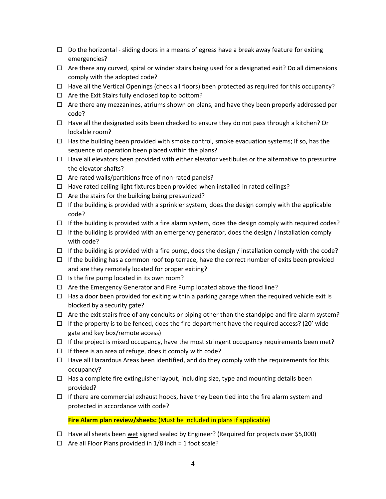- $\Box$  Do the horizontal sliding doors in a means of egress have a break away feature for exiting emergencies?
- $\Box$  Are there any curved, spiral or winder stairs being used for a designated exit? Do all dimensions comply with the adopted code?
- $\Box$  Have all the Vertical Openings (check all floors) been protected as required for this occupancy?
- $\Box$  Are the Exit Stairs fully enclosed top to bottom?
- $\Box$  Are there any mezzanines, atriums shown on plans, and have they been properly addressed per code?
- $\Box$  Have all the designated exits been checked to ensure they do not pass through a kitchen? Or lockable room?
- $\Box$  Has the building been provided with smoke control, smoke evacuation systems; If so, has the sequence of operation been placed within the plans?
- $\Box$  Have all elevators been provided with either elevator vestibules or the alternative to pressurize the elevator shafts?
- $\Box$  Are rated walls/partitions free of non-rated panels?
- $\Box$  Have rated ceiling light fixtures been provided when installed in rated ceilings?
- $\Box$  Are the stairs for the building being pressurized?
- $\Box$  If the building is provided with a sprinkler system, does the design comply with the applicable code?
- $\Box$  If the building is provided with a fire alarm system, does the design comply with required codes?
- $\Box$  If the building is provided with an emergency generator, does the design / installation comply with code?
- $\Box$  If the building is provided with a fire pump, does the design / installation comply with the code?
- $\Box$  If the building has a common roof top terrace, have the correct number of exits been provided and are they remotely located for proper exiting?
- $\Box$  Is the fire pump located in its own room?
- $\Box$  Are the Emergency Generator and Fire Pump located above the flood line?
- $\Box$  Has a door been provided for exiting within a parking garage when the required vehicle exit is blocked by a security gate?
- $\Box$  Are the exit stairs free of any conduits or piping other than the standpipe and fire alarm system?
- $\Box$  If the property is to be fenced, does the fire department have the required access? (20' wide gate and key box/remote access)
- $\Box$  If the project is mixed occupancy, have the most stringent occupancy requirements been met?
- $\Box$  If there is an area of refuge, does it comply with code?
- $\Box$  Have all Hazardous Areas been identified, and do they comply with the requirements for this occupancy?
- $\Box$  Has a complete fire extinguisher layout, including size, type and mounting details been provided?
- $\Box$  If there are commercial exhaust hoods, have they been tied into the fire alarm system and protected in accordance with code?

#### **Fire Alarm plan review/sheets:** (Must be included in plans if applicable)

- $\Box$  Have all sheets been wet signed sealed by Engineer? (Required for projects over \$5,000)
- $\Box$  Are all Floor Plans provided in 1/8 inch = 1 foot scale?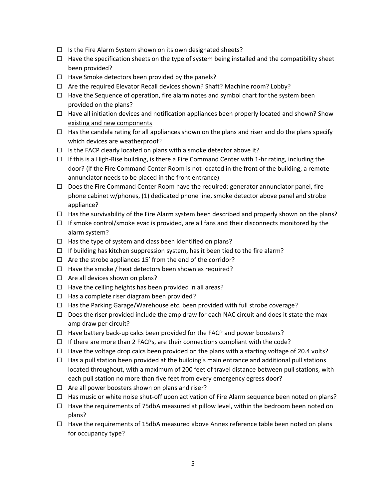- $\Box$  Is the Fire Alarm System shown on its own designated sheets?
- $\Box$  Have the specification sheets on the type of system being installed and the compatibility sheet been provided?
- $\Box$  Have Smoke detectors been provided by the panels?
- $\Box$  Are the required Elevator Recall devices shown? Shaft? Machine room? Lobby?
- $\Box$  Have the Sequence of operation, fire alarm notes and symbol chart for the system been provided on the plans?
- $\Box$  Have all initiation devices and notification appliances been properly located and shown? Show existing and new components
- $\Box$  Has the candela rating for all appliances shown on the plans and riser and do the plans specify which devices are weatherproof?
- $\Box$  Is the FACP clearly located on plans with a smoke detector above it?
- $\Box$  If this is a High-Rise building, is there a Fire Command Center with 1-hr rating, including the door? (If the Fire Command Center Room is not located in the front of the building, a remote annunciator needs to be placed in the front entrance)
- $\Box$  Does the Fire Command Center Room have the required: generator annunciator panel, fire phone cabinet w/phones, (1) dedicated phone line, smoke detector above panel and strobe appliance?
- $\Box$  Has the survivability of the Fire Alarm system been described and properly shown on the plans?
- $\Box$  If smoke control/smoke evac is provided, are all fans and their disconnects monitored by the alarm system?
- $\Box$  Has the type of system and class been identified on plans?
- $\Box$  If building has kitchen suppression system, has it been tied to the fire alarm?
- $\Box$  Are the strobe appliances 15' from the end of the corridor?
- $\Box$  Have the smoke / heat detectors been shown as required?
- $\Box$  Are all devices shown on plans?
- $\Box$  Have the ceiling heights has been provided in all areas?
- $\Box$  Has a complete riser diagram been provided?
- $\Box$  Has the Parking Garage/Warehouse etc. been provided with full strobe coverage?
- $\Box$  Does the riser provided include the amp draw for each NAC circuit and does it state the max amp draw per circuit?
- $\Box$  Have battery back-up calcs been provided for the FACP and power boosters?
- $\Box$  If there are more than 2 FACPs, are their connections compliant with the code?
- $\Box$  Have the voltage drop calcs been provided on the plans with a starting voltage of 20.4 volts?
- $\Box$  Has a pull station been provided at the building's main entrance and additional pull stations located throughout, with a maximum of 200 feet of travel distance between pull stations, with each pull station no more than five feet from every emergency egress door?
- $\Box$  Are all power boosters shown on plans and riser?
- $\Box$  Has music or white noise shut-off upon activation of Fire Alarm sequence been noted on plans?
- $\Box$  Have the requirements of 75dbA measured at pillow level, within the bedroom been noted on plans?
- $\Box$  Have the requirements of 15dbA measured above Annex reference table been noted on plans for occupancy type?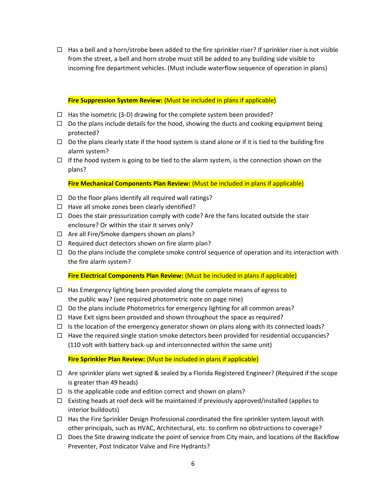from the street, a bell and horn strobe must still be added to any building side visible to  $\Box$  Has a bell and a horn/strobe been added to the fire sprinkler riser? If sprinkler riser is not visible incoming fire department vehicles. (Must include waterflow sequence of operation in plans)

#### **Fire Suppression System Review:** (Must be included in plans if applicable)

- $\Box$  Has the isometric (3-D) drawing for the complete system been provided?
- $\Box$  Do the plans include details for the hood, showing the ducts and cooking equipment being protected?
- $\Box$  Do the plans clearly state if the hood system is stand alone or if it is tied to the building fire alarm system?
- $\Box$  If the hood system is going to be tied to the alarm system, is the connection shown on the plans?

**Fire Mechanical Components Plan Review:** (Must be included in plans if applicable)

- $\Box$  Do the floor plans identify all required wall ratings?
- $\Box$  Have all smoke zones been clearly identified?
- $\Box$  Does the stair pressurization comply with code? Are the fans located outside the stair enclosure? Or within the stair it serves only?
- $\Box$  Are all Fire/Smoke dampers shown on plans?
- $\Box$  Required duct detectors shown on fire alarm plan?
- $\Box$  Do the plans include the complete smoke control sequence of operation and its interaction with the fire alarm system?

**Fire Electrical Components Plan Review:** (Must be included in plans if applicable)

- $\Box$  Has Emergency lighting been provided along the complete means of egress to the public way? (see required photometric note on page nine)
- $\Box$  Do the plans include Photometrics for emergency lighting for all common areas?
- $\Box$  Have Exit signs been provided and shown throughout the space as required?
- $\Box$  Is the location of the emergency generator shown on plans along with its connected loads?
- $\Box$  Have the required single station smoke detectors been provided for residential occupancies? (110 volt with battery back-up and interconnected within the same unit)

**Fire Sprinkler Plan Review:** (Must be included in plans if applicable)

- $\Box$  Are sprinkler plans wet signed & sealed by a Florida Registered Engineer? (Required if the scope is greater than 49 heads)
- $\Box$  Is the applicable code and edition correct and shown on plans?
- $\Box$  Existing heads at roof deck will be maintained if previously approved/installed (applies to interior buildouts)
- $\Box$  Has the Fire Sprinkler Design Professional coordinated the fire sprinkler system layout with other principals, such as HVAC, Architectural, etc. to confirm no obstructions to coverage?
- $\Box$  Does the Site drawing indicate the point of service from City main, and locations of the Backflow Preventer, Post Indicator Valve and Fire Hydrants?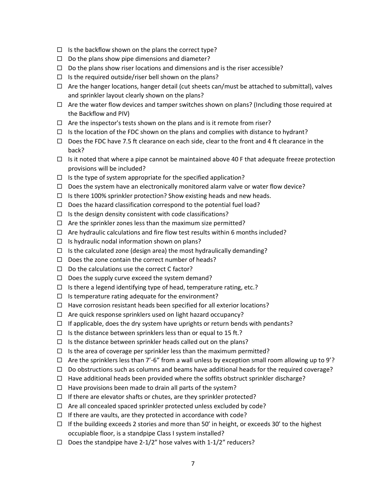- $\Box$  Is the backflow shown on the plans the correct type?
- $\Box$  Do the plans show pipe dimensions and diameter?
- $\Box$  Do the plans show riser locations and dimensions and is the riser accessible?
- $\Box$  Is the required outside/riser bell shown on the plans?
- $\Box$  Are the hanger locations, hanger detail (cut sheets can/must be attached to submittal), valves and sprinkler layout clearly shown on the plans?
- $\Box$  Are the water flow devices and tamper switches shown on plans? (Including those required at the Backflow and PIV)
- $\Box$  Are the inspector's tests shown on the plans and is it remote from riser?
- $\Box$  Is the location of the FDC shown on the plans and complies with distance to hydrant?
- $\Box$  Does the FDC have 7.5 ft clearance on each side, clear to the front and 4 ft clearance in the back?
- $\Box$  Is it noted that where a pipe cannot be maintained above 40 F that adequate freeze protection provisions will be included?
- $\Box$  Is the type of system appropriate for the specified application?
- $\Box$  Does the system have an electronically monitored alarm valve or water flow device?
- $\Box$  Is there 100% sprinkler protection? Show existing heads and new heads.
- $\Box$  Does the hazard classification correspond to the potential fuel load?
- $\Box$  Is the design density consistent with code classifications?
- $\Box$  Are the sprinkler zones less than the maximum size permitted?
- $\Box$  Are hydraulic calculations and fire flow test results within 6 months included?
- $\Box$  Is hydraulic nodal information shown on plans?
- $\Box$  Is the calculated zone (design area) the most hydraulically demanding?
- $\Box$  Does the zone contain the correct number of heads?
- $\Box$  Do the calculations use the correct C factor?
- $\Box$  Does the supply curve exceed the system demand?
- $\Box$  Is there a legend identifying type of head, temperature rating, etc.?
- $\Box$  Is temperature rating adequate for the environment?
- $\Box$  Have corrosion resistant heads been specified for all exterior locations?
- $\Box$  Are quick response sprinklers used on light hazard occupancy?
- $\Box$  If applicable, does the dry system have uprights or return bends with pendants?
- $\Box$  Is the distance between sprinklers less than or equal to 15 ft.?
- $\Box$  Is the distance between sprinkler heads called out on the plans?
- $\Box$  Is the area of coverage per sprinkler less than the maximum permitted?
- $\Box$  Are the sprinklers less than 7'-6" from a wall unless by exception small room allowing up to 9'?
- $\Box$  Do obstructions such as columns and beams have additional heads for the required coverage?
- $\Box$  Have additional heads been provided where the soffits obstruct sprinkler discharge?
- $\Box$  Have provisions been made to drain all parts of the system?
- $\Box$  If there are elevator shafts or chutes, are they sprinkler protected?
- $\Box$  Are all concealed spaced sprinkler protected unless excluded by code?
- $\Box$  If there are vaults, are they protected in accordance with code?
- $\Box$  If the building exceeds 2 stories and more than 50' in height, or exceeds 30' to the highest occupiable floor, is a standpipe Class I system installed?
- $\square$  Does the standpipe have 2-1/2" hose valves with 1-1/2" reducers?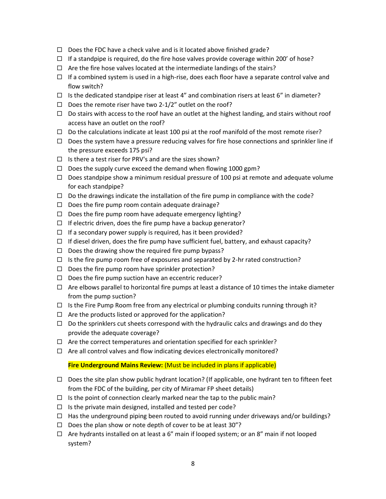- $\Box$  Does the FDC have a check valve and is it located above finished grade?
- $\Box$  If a standpipe is required, do the fire hose valves provide coverage within 200' of hose?
- $\Box$  Are the fire hose valves located at the intermediate landings of the stairs?
- $\Box$  If a combined system is used in a high-rise, does each floor have a separate control valve and flow switch?
- $\Box$  Is the dedicated standpipe riser at least 4" and combination risers at least 6" in diameter?
- $\Box$  Does the remote riser have two 2-1/2" outlet on the roof?
- $\Box$  Do stairs with access to the roof have an outlet at the highest landing, and stairs without roof access have an outlet on the roof?
- $\Box$  Do the calculations indicate at least 100 psi at the roof manifold of the most remote riser?
- $\Box$  Does the system have a pressure reducing valves for fire hose connections and sprinkler line if the pressure exceeds 175 psi?
- $\Box$  Is there a test riser for PRV's and are the sizes shown?
- $\Box$  Does the supply curve exceed the demand when flowing 1000 gpm?
- $\Box$  Does standpipe show a minimum residual pressure of 100 psi at remote and adequate volume for each standpipe?
- $\Box$  Do the drawings indicate the installation of the fire pump in compliance with the code?
- $\Box$  Does the fire pump room contain adequate drainage?
- $\Box$  Does the fire pump room have adequate emergency lighting?
- $\Box$  If electric driven, does the fire pump have a backup generator?
- $\Box$  If a secondary power supply is required, has it been provided?
- $\Box$  If diesel driven, does the fire pump have sufficient fuel, battery, and exhaust capacity?
- $\Box$  Does the drawing show the required fire pump bypass?
- $\Box$  Is the fire pump room free of exposures and separated by 2-hr rated construction?
- $\Box$  Does the fire pump room have sprinkler protection?
- $\Box$  Does the fire pump suction have an eccentric reducer?
- $\Box$  Are elbows parallel to horizontal fire pumps at least a distance of 10 times the intake diameter from the pump suction?
- $\Box$  Is the Fire Pump Room free from any electrical or plumbing conduits running through it?
- $\Box$  Are the products listed or approved for the application?
- $\Box$  Do the sprinklers cut sheets correspond with the hydraulic calcs and drawings and do they provide the adequate coverage?
- $\Box$  Are the correct temperatures and orientation specified for each sprinkler?
- $\Box$  Are all control valves and flow indicating devices electronically monitored?

#### **Fire Underground Mains Review:** (Must be included in plans if applicable)

- $\Box$  Does the site plan show public hydrant location? (If applicable, one hydrant ten to fifteen feet from the FDC of the building, per city of Miramar FP sheet details)
- $\Box$  Is the point of connection clearly marked near the tap to the public main?
- $\Box$  Is the private main designed, installed and tested per code?
- $\Box$  Has the underground piping been routed to avoid running under driveways and/or buildings?
- $\square$  Does the plan show or note depth of cover to be at least 30"?
- $\Box$  Are hydrants installed on at least a 6" main if looped system; or an 8" main if not looped system?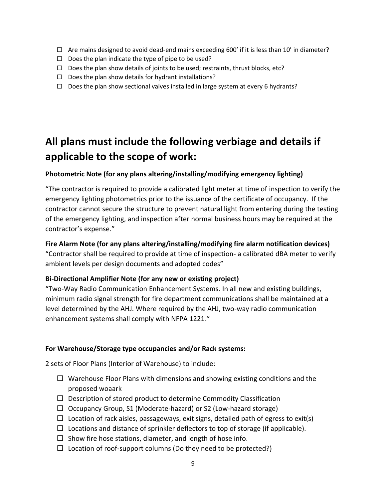- 
- $\Box$  Does the plan indicate the type of pipe to be used?
- $\Box$  Does the plan show details of joints to be used; restraints, thrust blocks, etc?
- $\Box$  Does the plan show details for hydrant installations?
- $\Box$  Does the plan show sectional valves installed in large system at every 6 hydrants?

# **All plans must include the following verbiage and details if applicable to the scope of work:**

## **Photometric Note (for any plans altering/installing/modifying emergency lighting)**

 $□$  Are mains designed to avoid dead-end mains exceeding 600' if it is less than 10' in diameter?<br>  $□$  Does the plan indicate the type of pier to be used; restraints, thrust blocks, etc?<br>  $□$  Does the plan show details "The contractor is required to provide a calibrated light meter at time of inspection to verify the emergency lighting photometrics prior to the issuance of the certificate of occupancy. If the contractor cannot secure the structure to prevent natural light from entering during the testing of the emergency lighting, and inspection after normal business hours may be required at the contractor's expense."

## **Fire Alarm Note (for any plans altering/installing/modifying fire alarm notification devices)**

 "Contractor shall be required to provide at time of inspection- a calibrated dBA meter to verify ambient levels per design documents and adopted codes"

## **Bi-Directional Amplifier Note (for any new or existing project)**

 "Two-Way Radio Communication Enhancement Systems. In all new and existing buildings, minimum radio signal strength for fire department communications shall be maintained at a level determined by the AHJ. Where required by the AHJ, two-way radio communication enhancement systems shall comply with NFPA 1221."

## **For Warehouse/Storage type occupancies and/or Rack systems:**

2 sets of Floor Plans (Interior of Warehouse) to include:

- $\Box$  Warehouse Floor Plans with dimensions and showing existing conditions and the proposed woaark
- $\Box$  Description of stored product to determine Commodity Classification
- $\Box$  Occupancy Group, S1 (Moderate-hazard) or S2 (Low-hazard storage)
- $\Box$  Location of rack aisles, passageways, exit signs, detailed path of egress to exit(s)
- $\Box$  Locations and distance of sprinkler deflectors to top of storage (if applicable).
- $\Box$  Show fire hose stations, diameter, and length of hose info.
- $\Box$  Location of roof-support columns (Do they need to be protected?)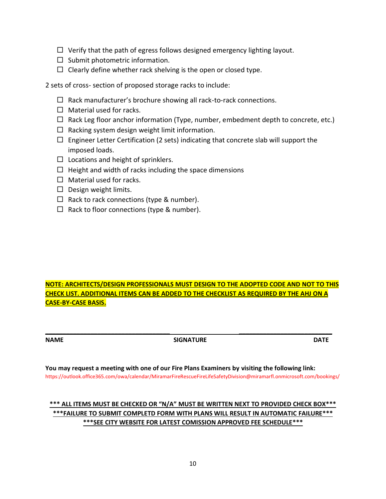- $\Box$  Verify that the path of egress follows designed emergency lighting layout.
- $\square$  Submit photometric information.
- $\Box$  Clearly define whether rack shelving is the open or closed type.

2 sets of cross- section of proposed storage racks to include:

- $\Box$  Rack manufacturer's brochure showing all rack-to-rack connections.
- $\Box$  Material used for racks.
- $\Box$  Rack Leg floor anchor information (Type, number, embedment depth to concrete, etc.)
- $\Box$  Racking system design weight limit information.
- $\Box$  Engineer Letter Certification (2 sets) indicating that concrete slab will support the imposed loads.
- $\Box$  Locations and height of sprinklers.
- $\Box$  Height and width of racks including the space dimensions
- $\Box$  Material used for racks.
- $\Box$  Design weight limits.
- $\Box$  Rack to rack connections (type & number).
- $\Box$  Rack to floor connections (type & number).

**NOTE: ARCHITECTS/DESIGN PROFESSIONALS MUST DESIGN TO THE ADOPTED CODE AND NOT TO THIS CHECK LIST. ADDITIONAL ITEMS CAN BE ADDED TO THE CHECKLIST AS REQUIRED BY THE AHJ ON A CASE-BY-CASE BASIS.** 

**\_\_\_\_\_\_\_\_\_\_\_\_\_\_\_\_\_\_\_\_\_\_\_\_\_\_\_\_\_\_\_\_\_\_\_\_ \_\_\_\_\_\_\_\_\_\_\_\_\_\_\_\_\_\_\_\_\_\_\_\_\_\_\_ NAME** DATE SIGNATURE DATE

**You may request a meeting with one of our Fire Plans Examiners by visiting the following link:**  <https://outlook.office365.com/owa/calendar/MiramarFireRescueFireLifeSafetyDivision@miramarfl.onmicrosoft.com/bookings/>

## **\*\*\* ALL ITEMS MUST BE CHECKED OR "N/A" MUST BE WRITTEN NEXT TO PROVIDED CHECK BOX\*\*\* \*\*\*FAILURE TO SUBMIT COMPLETD FORM WITH PLANS WILL RESULT IN AUTOMATIC FAILURE\*\*\* \*\*\*SEE CITY WEBSITE FOR LATEST COMISSION APPROVED FEE SCHEDULE\*\*\***